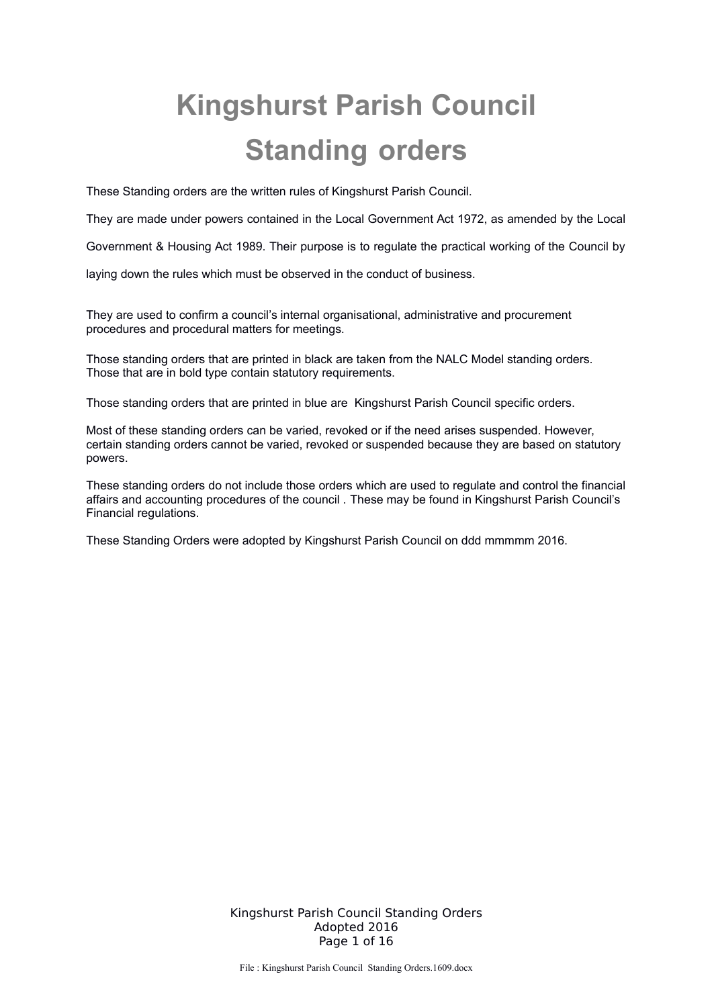# **Kingshurst Parish Council Standing orders**

These Standing orders are the written rules of Kingshurst Parish Council.

They are made under powers contained in the Local Government Act 1972, as amended by the Local

Government & Housing Act 1989. Their purpose is to regulate the practical working of the Council by

laying down the rules which must be observed in the conduct of business.

They are used to confirm a council's internal organisational, administrative and procurement procedures and procedural matters for meetings.

Those standing orders that are printed in black are taken from the NALC Model standing orders. Those that are in bold type contain statutory requirements.

Those standing orders that are printed in blue are Kingshurst Parish Council specific orders.

Most of these standing orders can be varied, revoked or if the need arises suspended. However, certain standing orders cannot be varied, revoked or suspended because they are based on statutory powers.

These standing orders do not include those orders which are used to regulate and control the financial affairs and accounting procedures of the council . These may be found in Kingshurst Parish Council's Financial regulations.

These Standing Orders were adopted by Kingshurst Parish Council on ddd mmmmm 2016.

Kingshurst Parish Council Standing Orders Adopted 2016 Page 1 of 16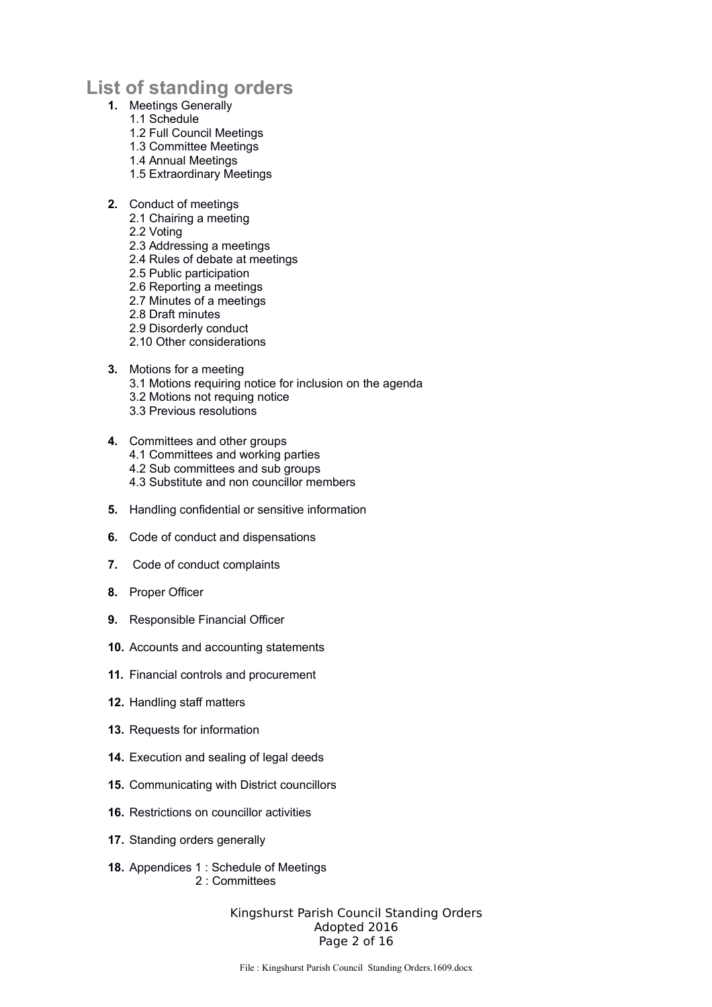## **List of standing orders**

- **1.** Meetings Generally
	- 1.1 Schedule
	- 1.2 Full Council Meetings
	- 1.3 Committee Meetings
	- 1.4 Annual Meetings
	- 1.5 Extraordinary Meetings
- **2.** Conduct of meetings
	- 2.1 Chairing a meeting
	- 2.2 Voting
	- 2.3 Addressing a meetings
	- 2.4 Rules of debate at meetings
	- 2.5 Public participation
	- 2.6 Reporting a meetings
	- 2.7 Minutes of a meetings
	- 2.8 Draft minutes
	- 2.9 Disorderly conduct
	- 2.10 Other considerations
- **3.** Motions for a meeting
	- 3.1 Motions requiring notice for inclusion on the agenda
	- 3.2 Motions not requing notice
	- 3.3 Previous resolutions
- **4.** Committees and other groups
	- 4.1 Committees and working parties
	- 4.2 Sub committees and sub groups
	- 4.3 Substitute and non councillor members
- **5.** Handling confidential or sensitive information
- **6.** Code of conduct and dispensations
- **7.** Code of conduct complaints
- **8.** Proper Officer
- **9.** Responsible Financial Officer
- **10.** Accounts and accounting statements
- **11.** Financial controls and procurement
- **12.** Handling staff matters
- **13.** Requests for information
- **14.** Execution and sealing of legal deeds
- **15.** Communicating with District councillors
- **16.** Restrictions on councillor activities
- **17.** Standing orders generally
- **18.** Appendices 1 : Schedule of Meetings 2 : Committees

Kingshurst Parish Council Standing Orders Adopted 2016 Page 2 of 16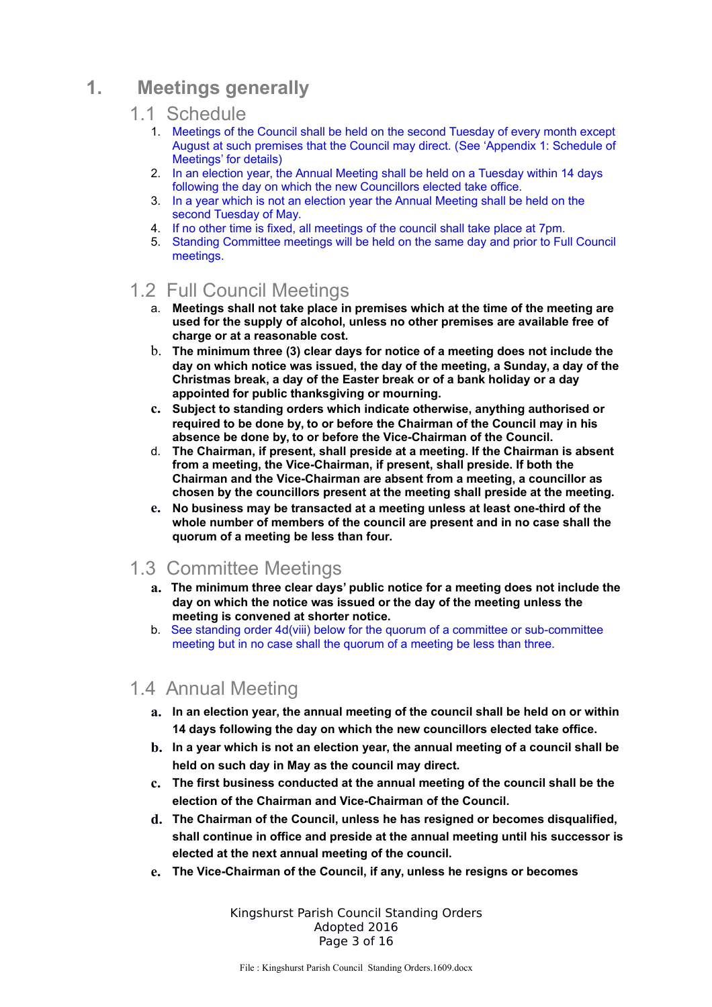# **1. Meetings generally**

#### 1.1 Schedule

- 1. Meetings of the Council shall be held on the second Tuesday of every month except August at such premises that the Council may direct. (See 'Appendix 1: Schedule of Meetings' for details)
- 2. In an election year, the Annual Meeting shall be held on a Tuesday within 14 days following the day on which the new Councillors elected take office.
- 3. In a year which is not an election year the Annual Meeting shall be held on the second Tuesday of May.
- 4. If no other time is fixed, all meetings of the council shall take place at 7pm.
- 5. Standing Committee meetings will be held on the same day and prior to Full Council meetings.

## 1.2 Full Council Meetings

- a. **Meetings shall not take place in premises which at the time of the meeting are used for the supply of alcohol, unless no other premises are available free of charge or at a reasonable cost.**
- b. **The minimum three (3) clear days for notice of a meeting does not include the day on which notice was issued, the day of the meeting, a Sunday, a day of the Christmas break, a day of the Easter break or of a bank holiday or a day appointed for public thanksgiving or mourning.**
- **c. Subject to standing orders which indicate otherwise, anything authorised or required to be done by, to or before the Chairman of the Council may in his absence be done by, to or before the Vice-Chairman of the Council.**
- d. **The Chairman, if present, shall preside at a meeting. If the Chairman is absent from a meeting, the Vice-Chairman, if present, shall preside. If both the Chairman and the Vice-Chairman are absent from a meeting, a councillor as chosen by the councillors present at the meeting shall preside at the meeting.**
- **e. No business may be transacted at a meeting unless at least one-third of the whole number of members of the council are present and in no case shall the quorum of a meeting be less than four.**

## 1.3 Committee Meetings

- **a. The minimum three clear days' public notice for a meeting does not include the day on which the notice was issued or the day of the meeting unless the meeting is convened at shorter notice.**
- b. See standing order 4d(viii) below for the quorum of a committee or sub-committee meeting but in no case shall the quorum of a meeting be less than three.

## 1.4 Annual Meeting

- **a. In an election year, the annual meeting of the council shall be held on or within 14 days following the day on which the new councillors elected take office.**
- **b. In a year which is not an election year, the annual meeting of a council shall be held on such day in May as the council may direct.**
- **c. The first business conducted at the annual meeting of the council shall be the election of the Chairman and Vice-Chairman of the Council.**
- **d. The Chairman of the Council, unless he has resigned or becomes disqualified, shall continue in office and preside at the annual meeting until his successor is elected at the next annual meeting of the council.**
- **e. The Vice-Chairman of the Council, if any, unless he resigns or becomes**

Kingshurst Parish Council Standing Orders Adopted 2016 Page 3 of 16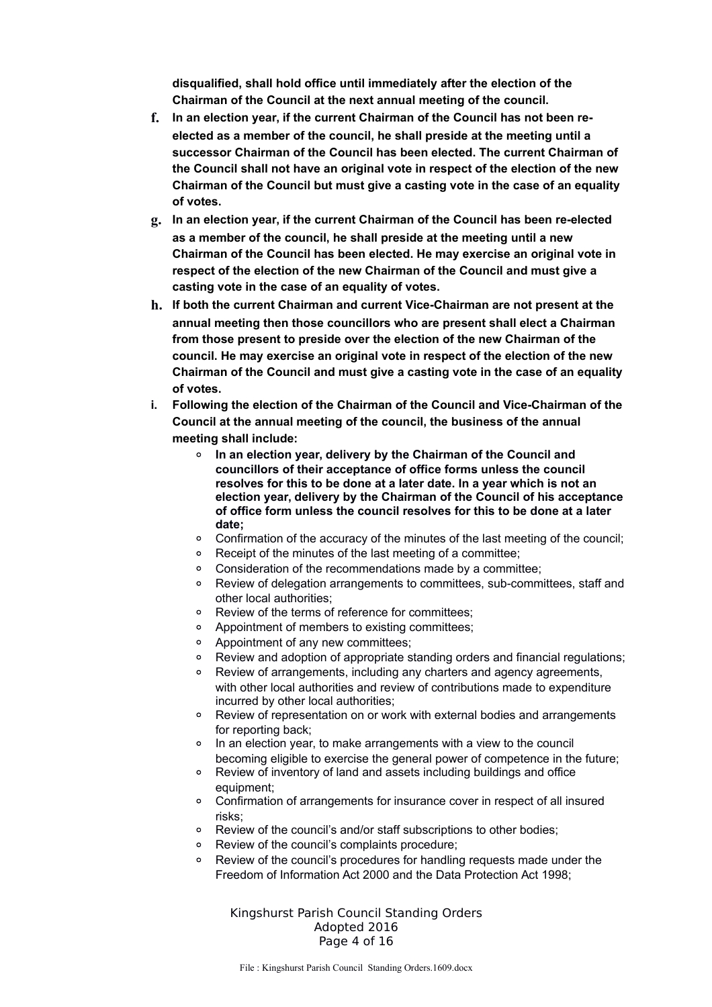**disqualified, shall hold office until immediately after the election of the Chairman of the Council at the next annual meeting of the council.**

- **f. In an election year, if the current Chairman of the Council has not been reelected as a member of the council, he shall preside at the meeting until a successor Chairman of the Council has been elected. The current Chairman of the Council shall not have an original vote in respect of the election of the new Chairman of the Council but must give a casting vote in the case of an equality of votes.**
- **g. In an election year, if the current Chairman of the Council has been re-elected as a member of the council, he shall preside at the meeting until a new Chairman of the Council has been elected. He may exercise an original vote in respect of the election of the new Chairman of the Council and must give a casting vote in the case of an equality of votes.**
- **h. If both the current Chairman and current Vice-Chairman are not present at the annual meeting then those councillors who are present shall elect a Chairman from those present to preside over the election of the new Chairman of the council. He may exercise an original vote in respect of the election of the new Chairman of the Council and must give a casting vote in the case of an equality of votes.**
- **i. Following the election of the Chairman of the Council and Vice-Chairman of the Council at the annual meeting of the council, the business of the annual meeting shall include:**
	- **In an election year, delivery by the Chairman of the Council and councillors of their acceptance of office forms unless the council resolves for this to be done at a later date. In a year which is not an election year, delivery by the Chairman of the Council of his acceptance of office form unless the council resolves for this to be done at a later date;**
	- Confirmation of the accuracy of the minutes of the last meeting of the council;
	- Receipt of the minutes of the last meeting of a committee;
	- Consideration of the recommendations made by a committee;
	- Review of delegation arrangements to committees, sub-committees, staff and other local authorities;
	- Review of the terms of reference for committees;
	- Appointment of members to existing committees;
	- Appointment of any new committees;
	- Review and adoption of appropriate standing orders and financial regulations;
	- Review of arrangements, including any charters and agency agreements, with other local authorities and review of contributions made to expenditure incurred by other local authorities;
	- Review of representation on or work with external bodies and arrangements for reporting back;
	- In an election year, to make arrangements with a view to the council becoming eligible to exercise the general power of competence in the future;
	- Review of inventory of land and assets including buildings and office equipment;
	- Confirmation of arrangements for insurance cover in respect of all insured risks;
	- Review of the council's and/or staff subscriptions to other bodies;
	- Review of the council's complaints procedure;
	- Review of the council's procedures for handling requests made under the Freedom of Information Act 2000 and the Data Protection Act 1998;

Kingshurst Parish Council Standing Orders Adopted 2016 Page 4 of 16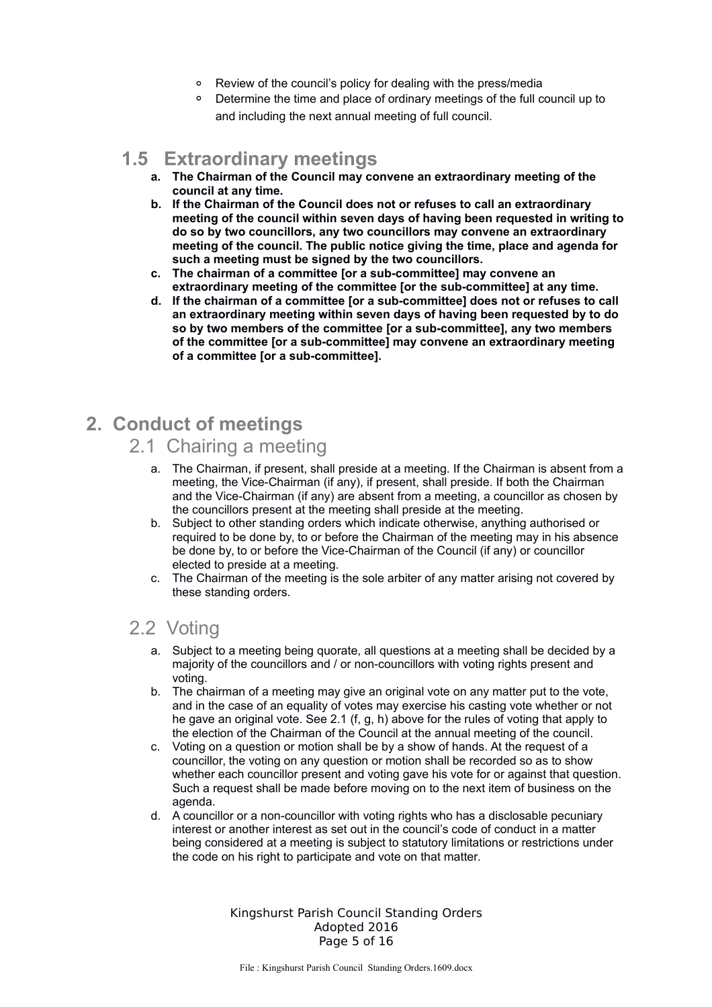- Review of the council's policy for dealing with the press/media
- Determine the time and place of ordinary meetings of the full council up to and including the next annual meeting of full council.

## **1.5 Extraordinary meetings**

- **a. The Chairman of the Council may convene an extraordinary meeting of the council at any time.**
- **b. If the Chairman of the Council does not or refuses to call an extraordinary meeting of the council within seven days of having been requested in writing to do so by two councillors, any two councillors may convene an extraordinary meeting of the council. The public notice giving the time, place and agenda for such a meeting must be signed by the two councillors.**
- **c. The chairman of a committee [or a sub-committee] may convene an extraordinary meeting of the committee [or the sub-committee] at any time.**
- **d. If the chairman of a committee [or a sub-committee] does not or refuses to call an extraordinary meeting within seven days of having been requested by to do so by two members of the committee [or a sub-committee], any two members of the committee [or a sub-committee] may convene an extraordinary meeting of a committee [or a sub-committee].**

# **2. Conduct of meetings**

#### 2.1 Chairing a meeting

- a. The Chairman, if present, shall preside at a meeting. If the Chairman is absent from a meeting, the Vice-Chairman (if any), if present, shall preside. If both the Chairman and the Vice-Chairman (if any) are absent from a meeting, a councillor as chosen by the councillors present at the meeting shall preside at the meeting.
- b. Subject to other standing orders which indicate otherwise, anything authorised or required to be done by, to or before the Chairman of the meeting may in his absence be done by, to or before the Vice-Chairman of the Council (if any) or councillor elected to preside at a meeting.
- c. The Chairman of the meeting is the sole arbiter of any matter arising not covered by these standing orders.

## 2.2 Voting

- a. Subject to a meeting being quorate, all questions at a meeting shall be decided by a majority of the councillors and / or non-councillors with voting rights present and voting.
- b. The chairman of a meeting may give an original vote on any matter put to the vote, and in the case of an equality of votes may exercise his casting vote whether or not he gave an original vote. See 2.1 (f, g, h) above for the rules of voting that apply to the election of the Chairman of the Council at the annual meeting of the council.
- c. Voting on a question or motion shall be by a show of hands. At the request of a councillor, the voting on any question or motion shall be recorded so as to show whether each councillor present and voting gave his vote for or against that question. Such a request shall be made before moving on to the next item of business on the agenda.
- d. A councillor or a non-councillor with voting rights who has a disclosable pecuniary interest or another interest as set out in the council's code of conduct in a matter being considered at a meeting is subject to statutory limitations or restrictions under the code on his right to participate and vote on that matter.

Kingshurst Parish Council Standing Orders Adopted 2016 Page 5 of 16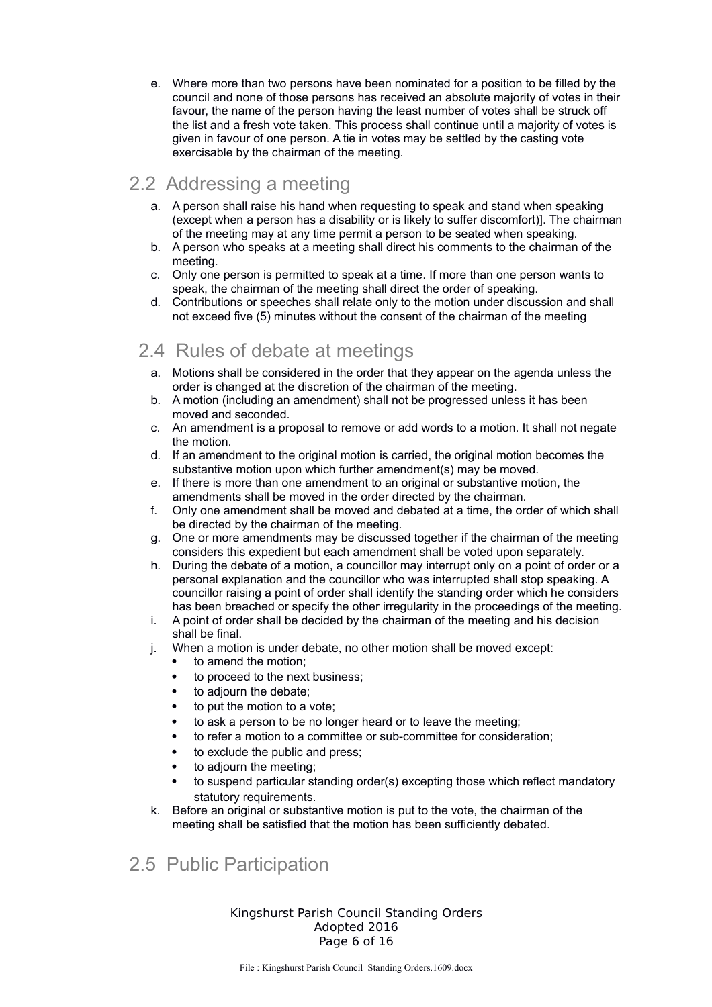e. Where more than two persons have been nominated for a position to be filled by the council and none of those persons has received an absolute majority of votes in their favour, the name of the person having the least number of votes shall be struck off the list and a fresh vote taken. This process shall continue until a majority of votes is given in favour of one person. A tie in votes may be settled by the casting vote exercisable by the chairman of the meeting.

## 2.2 Addressing a meeting

- a. A person shall raise his hand when requesting to speak and stand when speaking (except when a person has a disability or is likely to suffer discomfort)]. The chairman of the meeting may at any time permit a person to be seated when speaking.
- b. A person who speaks at a meeting shall direct his comments to the chairman of the meeting.
- c. Only one person is permitted to speak at a time. If more than one person wants to speak, the chairman of the meeting shall direct the order of speaking.
- d. Contributions or speeches shall relate only to the motion under discussion and shall not exceed five (5) minutes without the consent of the chairman of the meeting

# 2.4 Rules of debate at meetings

- a. Motions shall be considered in the order that they appear on the agenda unless the order is changed at the discretion of the chairman of the meeting.
- b. A motion (including an amendment) shall not be progressed unless it has been moved and seconded.
- c. An amendment is a proposal to remove or add words to a motion. It shall not negate the motion.
- d. If an amendment to the original motion is carried, the original motion becomes the substantive motion upon which further amendment(s) may be moved.
- e. If there is more than one amendment to an original or substantive motion, the amendments shall be moved in the order directed by the chairman.
- f. Only one amendment shall be moved and debated at a time, the order of which shall be directed by the chairman of the meeting.
- g. One or more amendments may be discussed together if the chairman of the meeting considers this expedient but each amendment shall be voted upon separately.
- h. During the debate of a motion, a councillor may interrupt only on a point of order or a personal explanation and the councillor who was interrupted shall stop speaking. A councillor raising a point of order shall identify the standing order which he considers has been breached or specify the other irregularity in the proceedings of the meeting.
- i. A point of order shall be decided by the chairman of the meeting and his decision shall be final.
- j. When a motion is under debate, no other motion shall be moved except:
	- to amend the motion;
		- to proceed to the next business;
		- to adjourn the debate;
		- to put the motion to a vote;
		- to ask a person to be no longer heard or to leave the meeting;
		- to refer a motion to a committee or sub-committee for consideration;
		- to exclude the public and press;
		- to adjourn the meeting;
		- to suspend particular standing order(s) excepting those which reflect mandatory statutory requirements.
- k. Before an original or substantive motion is put to the vote, the chairman of the meeting shall be satisfied that the motion has been sufficiently debated.

## 2.5 Public Participation

Kingshurst Parish Council Standing Orders Adopted 2016 Page 6 of 16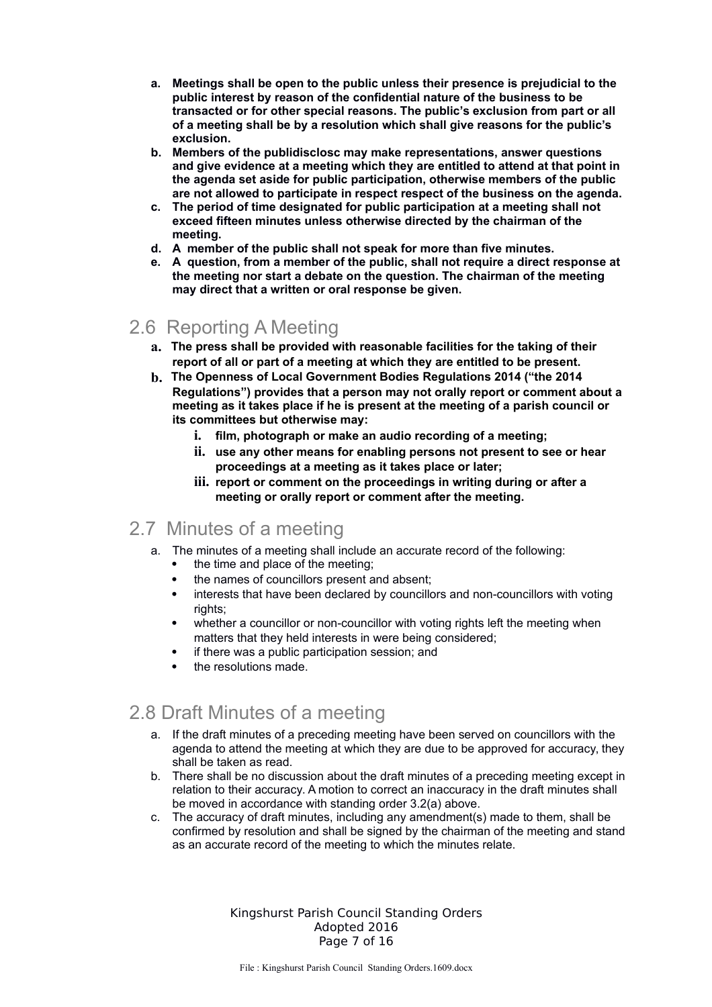- **a. Meetings shall be open to the public unless their presence is prejudicial to the public interest by reason of the confidential nature of the business to be transacted or for other special reasons. The public's exclusion from part or all of a meeting shall be by a resolution which shall give reasons for the public's exclusion.**
- **b. Members of the publidisclosc may make representations, answer questions and give evidence at a meeting which they are entitled to attend at that point in the agenda set aside for public participation, otherwise members of the public are not allowed to participate in respect respect of the business on the agenda.**
- **c. The period of time designated for public participation at a meeting shall not exceed fifteen minutes unless otherwise directed by the chairman of the meeting.**
- **d. A member of the public shall not speak for more than five minutes.**
- **e. A question, from a member of the public, shall not require a direct response at the meeting nor start a debate on the question. The chairman of the meeting may direct that a written or oral response be given.**

## 2.6 Reporting A Meeting

- **a. The press shall be provided with reasonable facilities for the taking of their report of all or part of a meeting at which they are entitled to be present.**
- **b. The Openness of Local Government Bodies Regulations 2014 ("the 2014 Regulations") provides that a person may not orally report or comment about a meeting as it takes place if he is present at the meeting of a parish council or its committees but otherwise may:**
	- **i. film, photograph or make an audio recording of a meeting;**
	- **ii. use any other means for enabling persons not present to see or hear proceedings at a meeting as it takes place or later;**
	- **iii. report or comment on the proceedings in writing during or after a meeting or orally report or comment after the meeting.**

#### 2.7 Minutes of a meeting

- a. The minutes of a meeting shall include an accurate record of the following:
	- the time and place of the meeting;
	- the names of councillors present and absent;
	- interests that have been declared by councillors and non-councillors with voting rights;
	- whether a councillor or non-councillor with voting rights left the meeting when matters that they held interests in were being considered;
	- if there was a public participation session; and
	- the resolutions made.

## 2.8 Draft Minutes of a meeting

- a. If the draft minutes of a preceding meeting have been served on councillors with the agenda to attend the meeting at which they are due to be approved for accuracy, they shall be taken as read.
- b. There shall be no discussion about the draft minutes of a preceding meeting except in relation to their accuracy. A motion to correct an inaccuracy in the draft minutes shall be moved in accordance with standing order 3.2(a) above.
- c. The accuracy of draft minutes, including any amendment(s) made to them, shall be confirmed by resolution and shall be signed by the chairman of the meeting and stand as an accurate record of the meeting to which the minutes relate.

Kingshurst Parish Council Standing Orders Adopted 2016 Page 7 of 16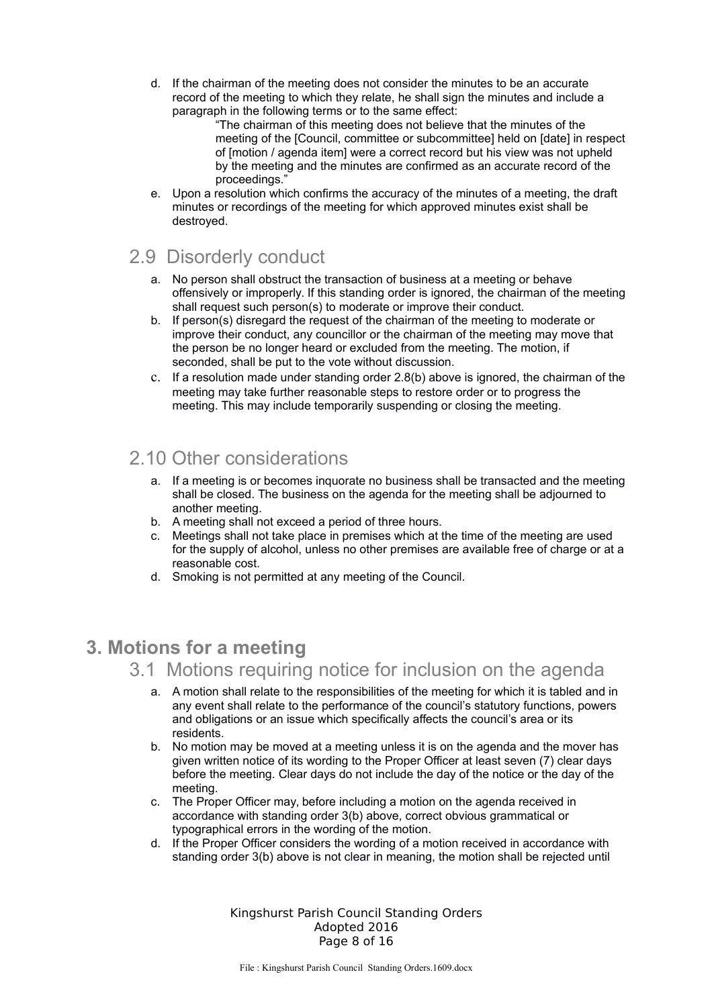d. If the chairman of the meeting does not consider the minutes to be an accurate record of the meeting to which they relate, he shall sign the minutes and include a paragraph in the following terms or to the same effect:

"The chairman of this meeting does not believe that the minutes of the meeting of the [Council, committee or subcommittee] held on [date] in respect of [motion / agenda item] were a correct record but his view was not upheld by the meeting and the minutes are confirmed as an accurate record of the proceedings."

e. Upon a resolution which confirms the accuracy of the minutes of a meeting, the draft minutes or recordings of the meeting for which approved minutes exist shall be destroyed.

## 2.9 Disorderly conduct

- a. No person shall obstruct the transaction of business at a meeting or behave offensively or improperly. If this standing order is ignored, the chairman of the meeting shall request such person(s) to moderate or improve their conduct.
- b. If person(s) disregard the request of the chairman of the meeting to moderate or improve their conduct, any councillor or the chairman of the meeting may move that the person be no longer heard or excluded from the meeting. The motion, if seconded, shall be put to the vote without discussion.
- c. If a resolution made under standing order 2.8(b) above is ignored, the chairman of the meeting may take further reasonable steps to restore order or to progress the meeting. This may include temporarily suspending or closing the meeting.

## 2.10 Other considerations

- a. If a meeting is or becomes inquorate no business shall be transacted and the meeting shall be closed. The business on the agenda for the meeting shall be adjourned to another meeting.
- b. A meeting shall not exceed a period of three hours.
- c. Meetings shall not take place in premises which at the time of the meeting are used for the supply of alcohol, unless no other premises are available free of charge or at a reasonable cost.
- d. Smoking is not permitted at any meeting of the Council.

## **3. Motions for a meeting**

- 3.1 Motions requiring notice for inclusion on the agenda
	- a. A motion shall relate to the responsibilities of the meeting for which it is tabled and in any event shall relate to the performance of the council's statutory functions, powers and obligations or an issue which specifically affects the council's area or its residents.
	- b. No motion may be moved at a meeting unless it is on the agenda and the mover has given written notice of its wording to the Proper Officer at least seven (7) clear days before the meeting. Clear days do not include the day of the notice or the day of the meeting.
	- c. The Proper Officer may, before including a motion on the agenda received in accordance with standing order 3(b) above, correct obvious grammatical or typographical errors in the wording of the motion.
	- d. If the Proper Officer considers the wording of a motion received in accordance with standing order 3(b) above is not clear in meaning, the motion shall be rejected until

Kingshurst Parish Council Standing Orders Adopted 2016 Page 8 of 16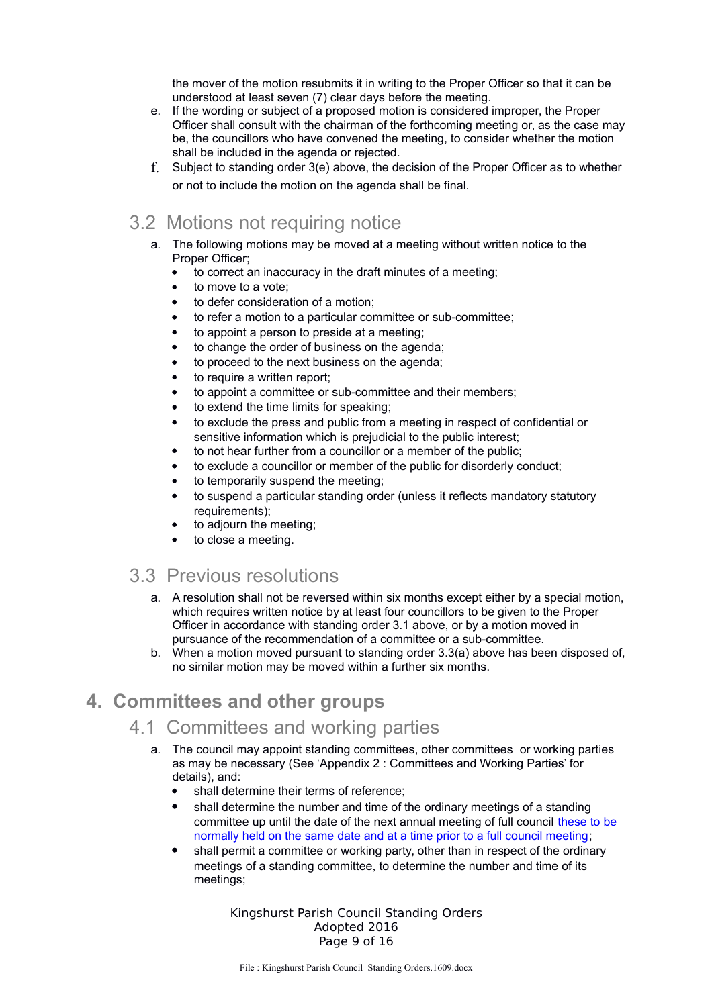the mover of the motion resubmits it in writing to the Proper Officer so that it can be understood at least seven (7) clear days before the meeting.

- e. If the wording or subject of a proposed motion is considered improper, the Proper Officer shall consult with the chairman of the forthcoming meeting or, as the case may be, the councillors who have convened the meeting, to consider whether the motion shall be included in the agenda or rejected.
- f. Subject to standing order 3(e) above, the decision of the Proper Officer as to whether or not to include the motion on the agenda shall be final.

## 3.2 Motions not requiring notice

- a. The following motions may be moved at a meeting without written notice to the Proper Officer;
	- to correct an inaccuracy in the draft minutes of a meeting;
	- to move to a vote;
	- to defer consideration of a motion;
	- to refer a motion to a particular committee or sub-committee;
	- to appoint a person to preside at a meeting;
	- to change the order of business on the agenda;
	- to proceed to the next business on the agenda;
	- to require a written report;
	- to appoint a committee or sub-committee and their members;
	- to extend the time limits for speaking;
	- to exclude the press and public from a meeting in respect of confidential or sensitive information which is prejudicial to the public interest;
	- to not hear further from a councillor or a member of the public;
	- to exclude a councillor or member of the public for disorderly conduct;
	- to temporarily suspend the meeting;
	- to suspend a particular standing order (unless it reflects mandatory statutory requirements):
	- to adjourn the meeting;
	- to close a meeting.

#### 3.3 Previous resolutions

- a. A resolution shall not be reversed within six months except either by a special motion, which requires written notice by at least four councillors to be given to the Proper Officer in accordance with standing order 3.1 above, or by a motion moved in pursuance of the recommendation of a committee or a sub-committee.
- b. When a motion moved pursuant to standing order 3.3(a) above has been disposed of, no similar motion may be moved within a further six months.

## **4. Committees and other groups**

#### 4.1 Committees and working parties

- a. The council may appoint standing committees, other committees or working parties as may be necessary (See 'Appendix 2 : Committees and Working Parties' for details), and:
	- shall determine their terms of reference;
	- shall determine the number and time of the ordinary meetings of a standing committee up until the date of the next annual meeting of full council these to be normally held on the same date and at a time prior to a full council meeting;
	- shall permit a committee or working party, other than in respect of the ordinary meetings of a standing committee, to determine the number and time of its meetings;

Kingshurst Parish Council Standing Orders Adopted 2016 Page 9 of 16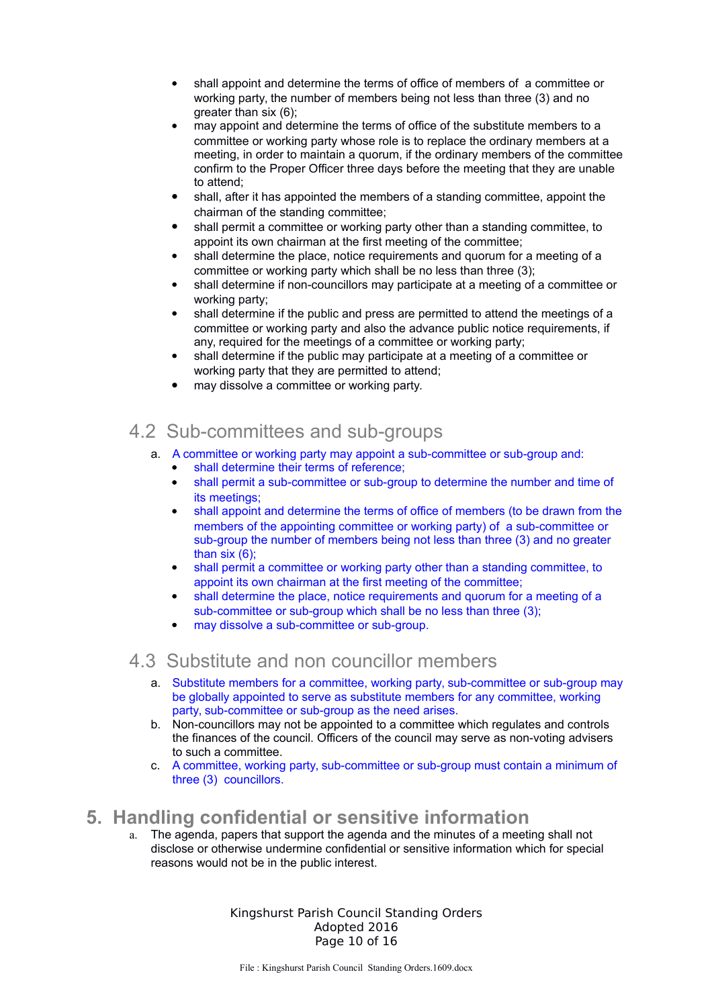- shall appoint and determine the terms of office of members of a committee or working party, the number of members being not less than three (3) and no greater than six (6);
- may appoint and determine the terms of office of the substitute members to a committee or working party whose role is to replace the ordinary members at a meeting, in order to maintain a quorum, if the ordinary members of the committee confirm to the Proper Officer three days before the meeting that they are unable to attend;
- shall, after it has appointed the members of a standing committee, appoint the chairman of the standing committee;
- shall permit a committee or working party other than a standing committee, to appoint its own chairman at the first meeting of the committee;
- shall determine the place, notice requirements and quorum for a meeting of a committee or working party which shall be no less than three (3);
- shall determine if non-councillors may participate at a meeting of a committee or working party;
- shall determine if the public and press are permitted to attend the meetings of a committee or working party and also the advance public notice requirements, if any, required for the meetings of a committee or working party;
- shall determine if the public may participate at a meeting of a committee or working party that they are permitted to attend;
- may dissolve a committee or working party.

#### 4.2 Sub-committees and sub-groups

- a. A committee or working party may appoint a sub-committee or sub-group and:
	- shall determine their terms of reference;
	- shall permit a sub-committee or sub-group to determine the number and time of its meetings;
	- shall appoint and determine the terms of office of members (to be drawn from the members of the appointing committee or working party) of a sub-committee or sub-group the number of members being not less than three (3) and no greater than six (6);
	- shall permit a committee or working party other than a standing committee, to appoint its own chairman at the first meeting of the committee;
	- shall determine the place, notice requirements and quorum for a meeting of a sub-committee or sub-group which shall be no less than three (3):
	- may dissolve a sub-committee or sub-group.

## 4.3 Substitute and non councillor members

- a. Substitute members for a committee, working party, sub-committee or sub-group may be globally appointed to serve as substitute members for any committee, working party, sub-committee or sub-group as the need arises.
- b. Non-councillors may not be appointed to a committee which regulates and controls the finances of the council. Officers of the council may serve as non-voting advisers to such a committee.
- c. A committee, working party, sub-committee or sub-group must contain a minimum of three (3) councillors.

#### **5. Handling confidential or sensitive information**

a. The agenda, papers that support the agenda and the minutes of a meeting shall not disclose or otherwise undermine confidential or sensitive information which for special reasons would not be in the public interest.

> Kingshurst Parish Council Standing Orders Adopted 2016 Page 10 of 16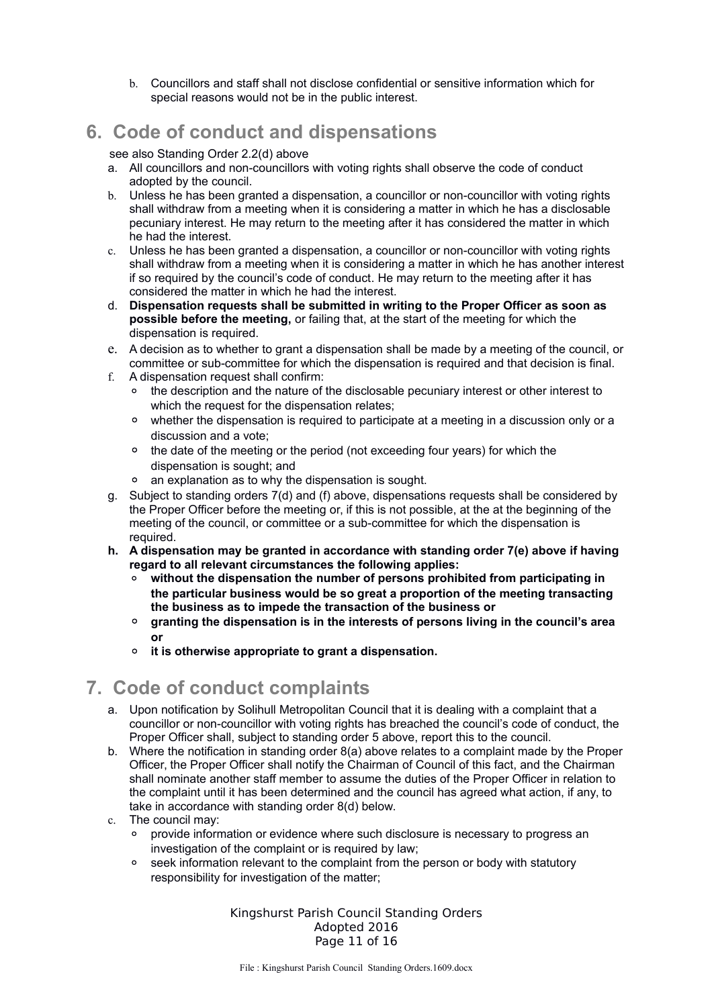b. Councillors and staff shall not disclose confidential or sensitive information which for special reasons would not be in the public interest.

## **6. Code of conduct and dispensations**

see also Standing Order 2.2(d) above

- a. All councillors and non-councillors with voting rights shall observe the code of conduct adopted by the council.
- b. Unless he has been granted a dispensation, a councillor or non-councillor with voting rights shall withdraw from a meeting when it is considering a matter in which he has a disclosable pecuniary interest. He may return to the meeting after it has considered the matter in which he had the interest.
- c. Unless he has been granted a dispensation, a councillor or non-councillor with voting rights shall withdraw from a meeting when it is considering a matter in which he has another interest if so required by the council's code of conduct. He may return to the meeting after it has considered the matter in which he had the interest.
- d. **Dispensation requests shall be submitted in writing to the Proper Officer as soon as possible before the meeting,** or failing that, at the start of the meeting for which the dispensation is required.
- e. A decision as to whether to grant a dispensation shall be made by a meeting of the council, or committee or sub-committee for which the dispensation is required and that decision is final.
- f. A dispensation request shall confirm:
	- the description and the nature of the disclosable pecuniary interest or other interest to which the request for the dispensation relates:
	- whether the dispensation is required to participate at a meeting in a discussion only or a discussion and a vote;
	- the date of the meeting or the period (not exceeding four years) for which the dispensation is sought; and
	- an explanation as to why the dispensation is sought.
- g. Subject to standing orders 7(d) and (f) above, dispensations requests shall be considered by the Proper Officer before the meeting or, if this is not possible, at the at the beginning of the meeting of the council, or committee or a sub-committee for which the dispensation is required.
- **h. A dispensation may be granted in accordance with standing order 7(e) above if having regard to all relevant circumstances the following applies:**
	- without the dispensation the number of persons prohibited from participating in **the particular business would be so great a proportion of the meeting transacting the business as to impede the transaction of the business or**
	- **granting the dispensation is in the interests of persons living in the council's area or**
	- **it is otherwise appropriate to grant a dispensation.**

## **7. Code of conduct complaints**

- a. Upon notification by Solihull Metropolitan Council that it is dealing with a complaint that a councillor or non-councillor with voting rights has breached the council's code of conduct, the Proper Officer shall, subject to standing order 5 above, report this to the council.
- b. Where the notification in standing order 8(a) above relates to a complaint made by the Proper Officer, the Proper Officer shall notify the Chairman of Council of this fact, and the Chairman shall nominate another staff member to assume the duties of the Proper Officer in relation to the complaint until it has been determined and the council has agreed what action, if any, to take in accordance with standing order 8(d) below.
- c. The council may:
	- provide information or evidence where such disclosure is necessary to progress an investigation of the complaint or is required by law:
	- seek information relevant to the complaint from the person or body with statutory responsibility for investigation of the matter;

Kingshurst Parish Council Standing Orders Adopted 2016 Page 11 of 16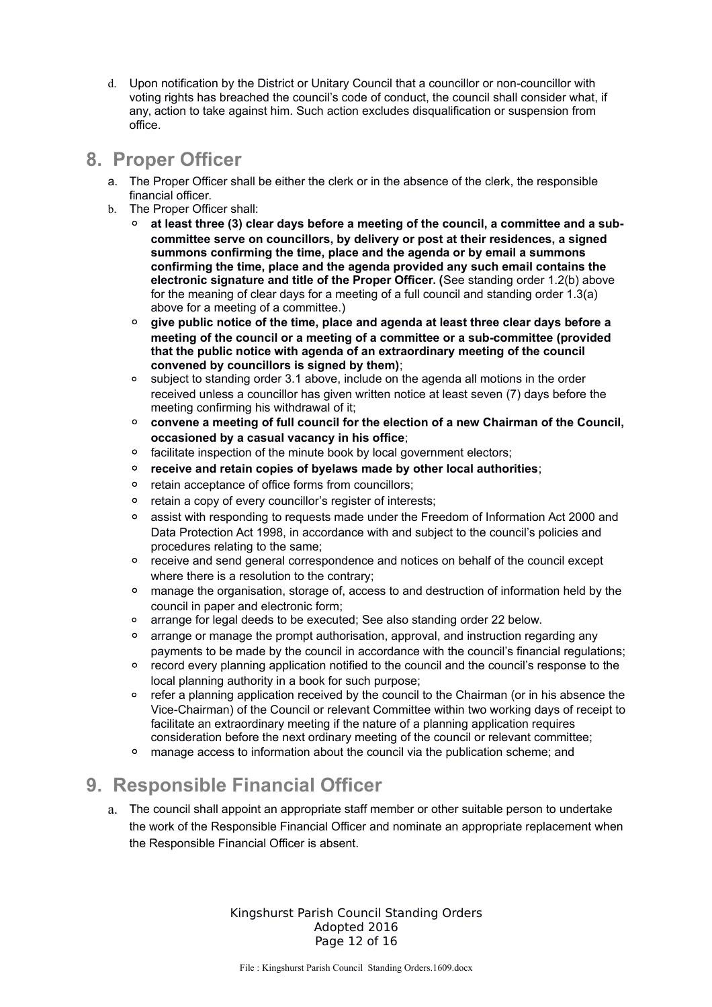d. Upon notification by the District or Unitary Council that a councillor or non-councillor with voting rights has breached the council's code of conduct, the council shall consider what, if any, action to take against him. Such action excludes disqualification or suspension from office.

#### **8. Proper Officer**

- a. The Proper Officer shall be either the clerk or in the absence of the clerk, the responsible financial officer.
- b. The Proper Officer shall:
	- **at least three (3) clear days before a meeting of the council, a committee and a subcommittee serve on councillors, by delivery or post at their residences, a signed summons confirming the time, place and the agenda or by email a summons confirming the time, place and the agenda provided any such email contains the electronic signature and title of the Proper Officer. (**See standing order 1.2(b) above for the meaning of clear days for a meeting of a full council and standing order 1.3(a) above for a meeting of a committee.)
	- **give public notice of the time, place and agenda at least three clear days before a meeting of the council or a meeting of a committee or a sub-committee (provided that the public notice with agenda of an extraordinary meeting of the council convened by councillors is signed by them)**;
	- subject to standing order 3.1 above, include on the agenda all motions in the order received unless a councillor has given written notice at least seven (7) days before the meeting confirming his withdrawal of it;
	- **convene a meeting of full council for the election of a new Chairman of the Council, occasioned by a casual vacancy in his office**;
	- facilitate inspection of the minute book by local government electors;
	- **receive and retain copies of byelaws made by other local authorities**;
	- retain acceptance of office forms from councillors;
	- retain a copy of every councillor's register of interests;
	- assist with responding to requests made under the Freedom of Information Act 2000 and Data Protection Act 1998, in accordance with and subject to the council's policies and procedures relating to the same;
	- receive and send general correspondence and notices on behalf of the council except where there is a resolution to the contrary;
	- manage the organisation, storage of, access to and destruction of information held by the council in paper and electronic form;
	- arrange for legal deeds to be executed; See also standing order 22 below.
	- arrange or manage the prompt authorisation, approval, and instruction regarding any payments to be made by the council in accordance with the council's financial regulations;
	- record every planning application notified to the council and the council's response to the local planning authority in a book for such purpose;
	- refer a planning application received by the council to the Chairman (or in his absence the Vice-Chairman) of the Council or relevant Committee within two working days of receipt to facilitate an extraordinary meeting if the nature of a planning application requires consideration before the next ordinary meeting of the council or relevant committee;
	- manage access to information about the council via the publication scheme; and

# **9. Responsible Financial Officer**

a. The council shall appoint an appropriate staff member or other suitable person to undertake the work of the Responsible Financial Officer and nominate an appropriate replacement when the Responsible Financial Officer is absent.

> Kingshurst Parish Council Standing Orders Adopted 2016 Page 12 of 16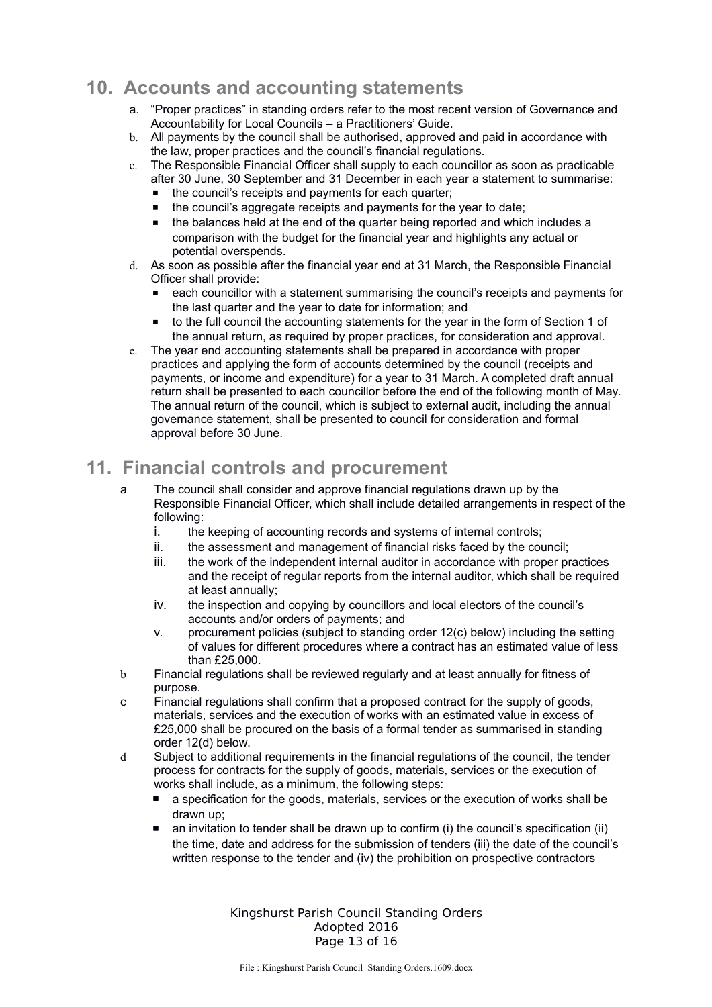## **10. Accounts and accounting statements**

- a. "Proper practices" in standing orders refer to the most recent version of Governance and Accountability for Local Councils – a Practitioners' Guide.
- b. All payments by the council shall be authorised, approved and paid in accordance with the law, proper practices and the council's financial regulations.
- c. The Responsible Financial Officer shall supply to each councillor as soon as practicable after 30 June, 30 September and 31 December in each year a statement to summarise:
	- the council's receipts and payments for each quarter;
	- the council's aggregate receipts and payments for the year to date;
	- the balances held at the end of the quarter being reported and which includes a comparison with the budget for the financial year and highlights any actual or potential overspends.
- d. As soon as possible after the financial year end at 31 March, the Responsible Financial Officer shall provide:
	- each councillor with a statement summarising the council's receipts and payments for the last quarter and the year to date for information; and
	- to the full council the accounting statements for the year in the form of Section 1 of the annual return, as required by proper practices, for consideration and approval.
- e. The year end accounting statements shall be prepared in accordance with proper practices and applying the form of accounts determined by the council (receipts and payments, or income and expenditure) for a year to 31 March. A completed draft annual return shall be presented to each councillor before the end of the following month of May. The annual return of the council, which is subject to external audit, including the annual governance statement, shall be presented to council for consideration and formal approval before 30 June.

# **11. Financial controls and procurement**

- a The council shall consider and approve financial regulations drawn up by the Responsible Financial Officer, which shall include detailed arrangements in respect of the following:
	- i. the keeping of accounting records and systems of internal controls;
	- ii. the assessment and management of financial risks faced by the council;
	- iii. the work of the independent internal auditor in accordance with proper practices and the receipt of regular reports from the internal auditor, which shall be required at least annually;
	- iv. the inspection and copying by councillors and local electors of the council's accounts and/or orders of payments; and
	- v. procurement policies (subject to standing order 12(c) below) including the setting of values for different procedures where a contract has an estimated value of less than £25,000.
- b Financial regulations shall be reviewed regularly and at least annually for fitness of purpose.
- c Financial regulations shall confirm that a proposed contract for the supply of goods, materials, services and the execution of works with an estimated value in excess of £25,000 shall be procured on the basis of a formal tender as summarised in standing order 12(d) below.
- d Subject to additional requirements in the financial regulations of the council, the tender process for contracts for the supply of goods, materials, services or the execution of works shall include, as a minimum, the following steps:
	- a specification for the goods, materials, services or the execution of works shall be drawn up;
	- $\blacksquare$  an invitation to tender shall be drawn up to confirm (i) the council's specification (ii) the time, date and address for the submission of tenders (iii) the date of the council's written response to the tender and (iv) the prohibition on prospective contractors

Kingshurst Parish Council Standing Orders Adopted 2016 Page 13 of 16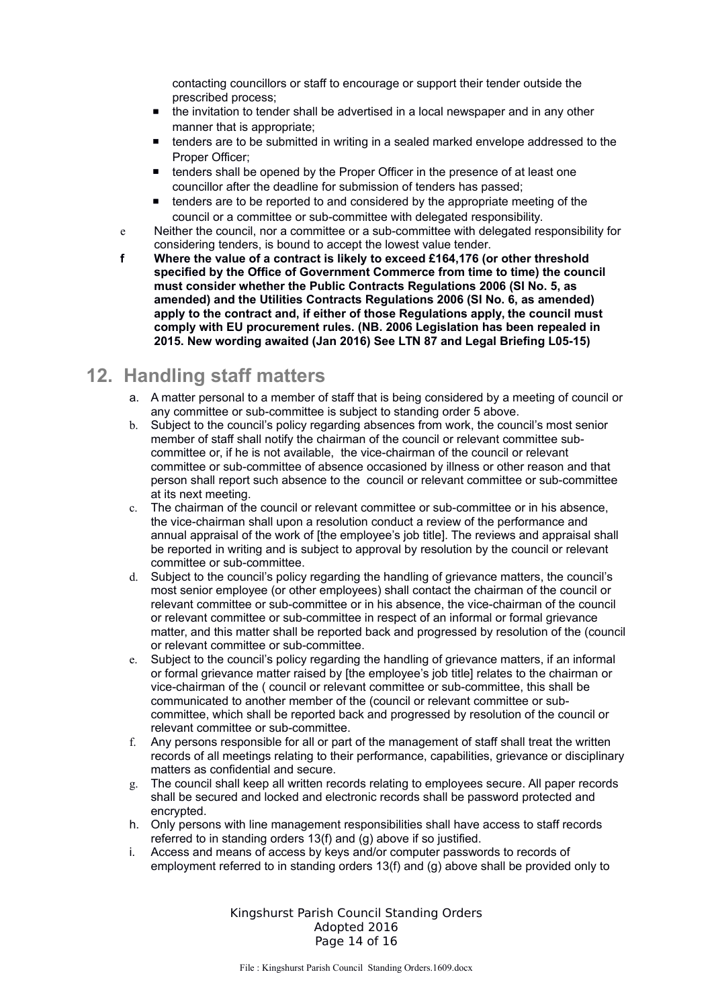contacting councillors or staff to encourage or support their tender outside the prescribed process;

- the invitation to tender shall be advertised in a local newspaper and in any other manner that is appropriate;
- tenders are to be submitted in writing in a sealed marked envelope addressed to the Proper Officer;
- tenders shall be opened by the Proper Officer in the presence of at least one councillor after the deadline for submission of tenders has passed;
- tenders are to be reported to and considered by the appropriate meeting of the council or a committee or sub-committee with delegated responsibility.
- e Neither the council, nor a committee or a sub-committee with delegated responsibility for considering tenders, is bound to accept the lowest value tender.
- **f Where the value of a contract is likely to exceed £164,176 (or other threshold specified by the Office of Government Commerce from time to time) the council must consider whether the Public Contracts Regulations 2006 (SI No. 5, as amended) and the Utilities Contracts Regulations 2006 (SI No. 6, as amended) apply to the contract and, if either of those Regulations apply, the council must comply with EU procurement rules. (NB. 2006 Legislation has been repealed in 2015. New wording awaited (Jan 2016) See LTN 87 and Legal Briefing L05-15)**

#### **12. Handling staff matters**

- a. A matter personal to a member of staff that is being considered by a meeting of council or any committee or sub-committee is subject to standing order 5 above.
- b. Subject to the council's policy regarding absences from work, the council's most senior member of staff shall notify the chairman of the council or relevant committee subcommittee or, if he is not available, the vice-chairman of the council or relevant committee or sub-committee of absence occasioned by illness or other reason and that person shall report such absence to the council or relevant committee or sub-committee at its next meeting.
- c. The chairman of the council or relevant committee or sub-committee or in his absence, the vice-chairman shall upon a resolution conduct a review of the performance and annual appraisal of the work of [the employee's job title]. The reviews and appraisal shall be reported in writing and is subject to approval by resolution by the council or relevant committee or sub-committee.
- d. Subject to the council's policy regarding the handling of grievance matters, the council's most senior employee (or other employees) shall contact the chairman of the council or relevant committee or sub-committee or in his absence, the vice-chairman of the council or relevant committee or sub-committee in respect of an informal or formal grievance matter, and this matter shall be reported back and progressed by resolution of the (council or relevant committee or sub-committee.
- e. Subject to the council's policy regarding the handling of grievance matters, if an informal or formal grievance matter raised by [the employee's job title] relates to the chairman or vice-chairman of the ( council or relevant committee or sub-committee, this shall be communicated to another member of the (council or relevant committee or subcommittee, which shall be reported back and progressed by resolution of the council or relevant committee or sub-committee.
- f. Any persons responsible for all or part of the management of staff shall treat the written records of all meetings relating to their performance, capabilities, grievance or disciplinary matters as confidential and secure.
- g. The council shall keep all written records relating to employees secure. All paper records shall be secured and locked and electronic records shall be password protected and encrypted.
- h. Only persons with line management responsibilities shall have access to staff records referred to in standing orders 13(f) and (g) above if so justified.
- i. Access and means of access by keys and/or computer passwords to records of employment referred to in standing orders 13(f) and (g) above shall be provided only to

Kingshurst Parish Council Standing Orders Adopted 2016 Page 14 of 16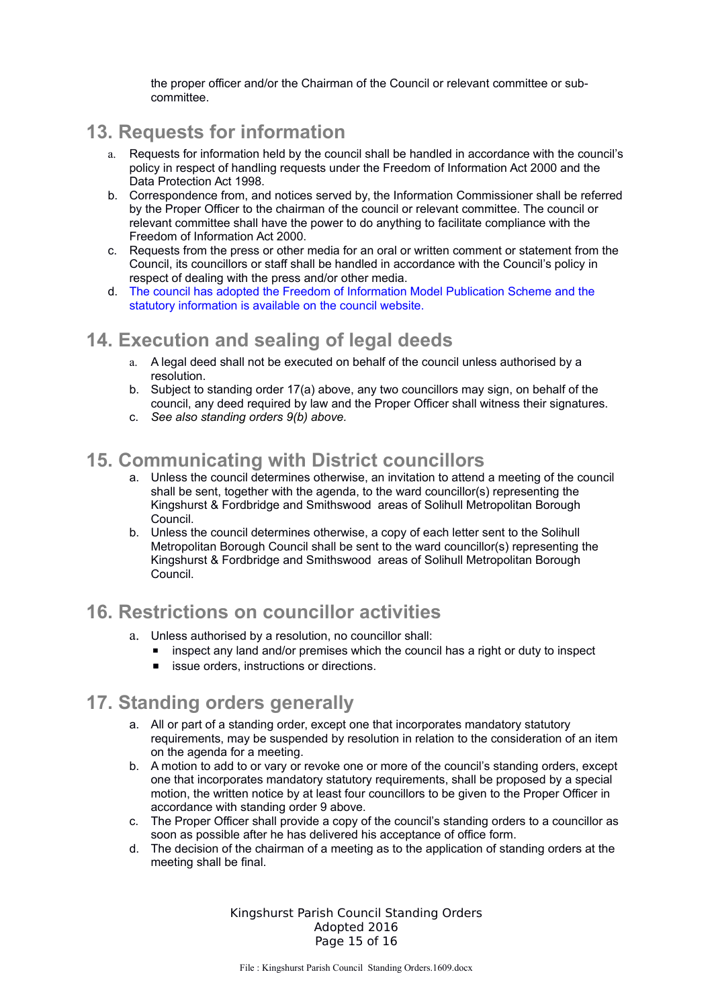the proper officer and/or the Chairman of the Council or relevant committee or subcommittee.

## **13. Requests for information**

- a. Requests for information held by the council shall be handled in accordance with the council's policy in respect of handling requests under the Freedom of Information Act 2000 and the Data Protection Act 1998.
- b. Correspondence from, and notices served by, the Information Commissioner shall be referred by the Proper Officer to the chairman of the council or relevant committee. The council or relevant committee shall have the power to do anything to facilitate compliance with the Freedom of Information Act 2000.
- c. Requests from the press or other media for an oral or written comment or statement from the Council, its councillors or staff shall be handled in accordance with the Council's policy in respect of dealing with the press and/or other media.
- d. The council has adopted the Freedom of Information Model Publication Scheme and the statutory information is available on the council website.

## **14. Execution and sealing of legal deeds**

- a. A legal deed shall not be executed on behalf of the council unless authorised by a resolution.
- b. Subject to standing order 17(a) above, any two councillors may sign, on behalf of the council, any deed required by law and the Proper Officer shall witness their signatures.
- c. *See also standing orders 9(b) above.*

#### **15. Communicating with District councillors**

- a. Unless the council determines otherwise, an invitation to attend a meeting of the council shall be sent, together with the agenda, to the ward councillor(s) representing the Kingshurst & Fordbridge and Smithswood areas of Solihull Metropolitan Borough Council.
- b. Unless the council determines otherwise, a copy of each letter sent to the Solihull Metropolitan Borough Council shall be sent to the ward councillor(s) representing the Kingshurst & Fordbridge and Smithswood areas of Solihull Metropolitan Borough Council.

## **16. Restrictions on councillor activities**

- a. Unless authorised by a resolution, no councillor shall:
	- inspect any land and/or premises which the council has a right or duty to inspect
	- issue orders, instructions or directions.

## **17. Standing orders generally**

- a. All or part of a standing order, except one that incorporates mandatory statutory requirements, may be suspended by resolution in relation to the consideration of an item on the agenda for a meeting.
- b. A motion to add to or vary or revoke one or more of the council's standing orders, except one that incorporates mandatory statutory requirements, shall be proposed by a special motion, the written notice by at least four councillors to be given to the Proper Officer in accordance with standing order 9 above.
- c. The Proper Officer shall provide a copy of the council's standing orders to a councillor as soon as possible after he has delivered his acceptance of office form.
- d. The decision of the chairman of a meeting as to the application of standing orders at the meeting shall be final.

Kingshurst Parish Council Standing Orders Adopted 2016 Page 15 of 16